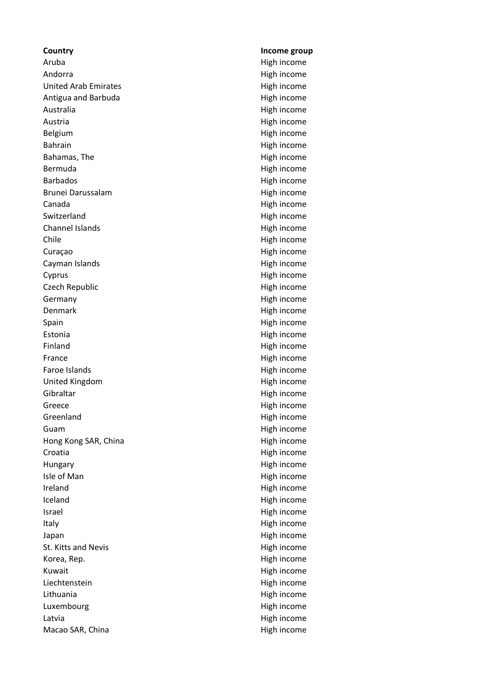**Country Income group** Aruba **Aruba** High income Andorra **High income** United Arab Emirates **High income** Antigua and Barbuda **High income** Australia High income Austria **High income** Belgium **High income** Bahrain High income Bahamas, The **High income** Bermuda **High income** Barbados **High income** Brunei Darussalam **High income** Canada **High income** Switzerland High income Channel Islands **High income** Chile High income Curaçao **High income** Cayman Islands **High income** Cyprus **Cyprus High income** Czech Republic **High income** Germany **High income** Denmark High income Spain High income Estonia **High income** Finland High income France High income Faroe Islands **High income** United Kingdom **High income** Gibraltar High income Greece High income Greenland High income Guam **High income** Hong Kong SAR, China **High income** Croatia **High income** Hungary **High income** Isle of Man **High income** Ireland High income Iceland **High income** Israel **High income** Italy **Internal Community** High income Japan **High income** St. Kitts and Nevis **High income** Korea, Rep. **And The Community Community** Contract High income Kuwait **High income** Liechtenstein High income Lithuania **High income** Luxembourg **High income** Latvia **High income** Macao SAR, China **High income**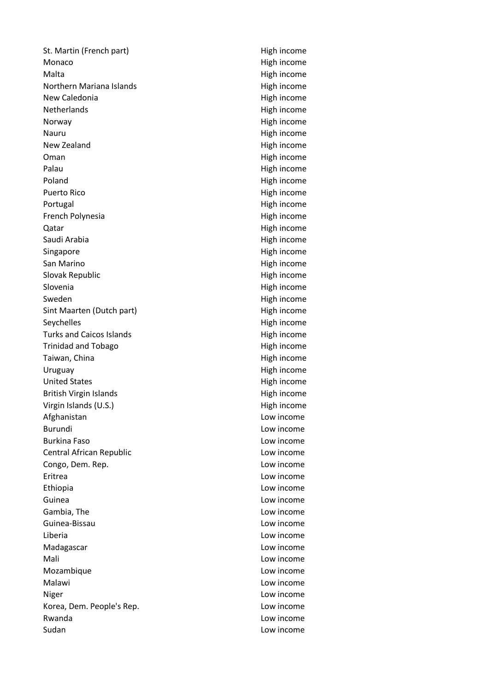St. Martin (French part) St. Martin (French part) Monaco **High income** Malta **Malta** High income Northern Mariana Islands<br>
High income New Caledonia **High income** Netherlands High income Norway **Matter and Community** High income Nauru Nauru High income New Zealand **High income** Oman High income Palau **High income** Poland **High income** Puerto Rico **Antiquist** Puerto Rico **High income** Portugal **High income** French Polynesia **High income** Qatar **High income** Saudi Arabia **High income** Singapore High income San Marino **High income** Slovak Republic **High income** Slovenia **High income** Sweden **High income** Sint Maarten (Dutch part) High income Seychelles **High income** Turks and Caicos Islands **High income** Trinidad and Tobago **High income** Taiwan, China **High income** Uruguay **High income** United States **High income** British Virgin Islands **High income** Virgin Islands (U.S.) and the state of the High income High income Afghanistan **Low income** Burundi **Low income** Burkina Faso **Low income** Central African Republic Low income Congo, Dem. Rep. Low income Eritrea Low income Ethiopia Low income Guinea Low income Gambia, The **Low income** Guinea-Bissau Low income Liberia Low income Madagascar **Low income** Mali Low income Mozambique **Low income** Malawi **Malawi** Low income Niger Low income Korea, Dem. People's Rep. Communication of the Low income Rwanda Low income Sudan Low income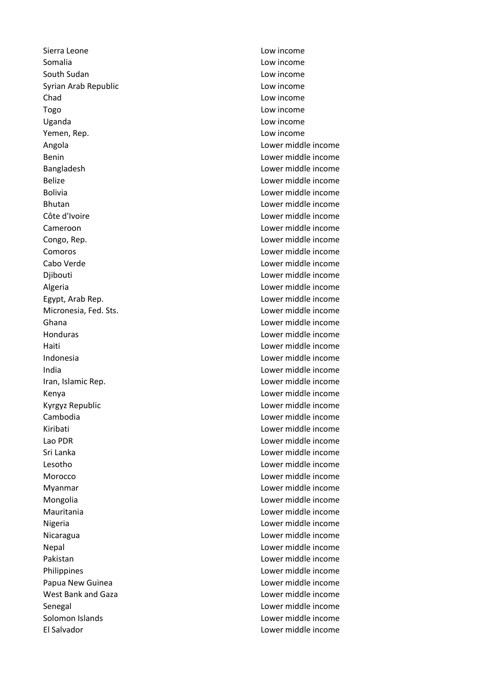Sierra Leone Low income Somalia Low income South Sudan **Low income** Syrian Arab Republic **Low income** Chad Low income Togo Low income Uganda Low income Yemen, Rep. Low income Angola Lower middle income Benin Lower middle income Bangladesh Lower middle income Belize Lower middle income Bolivia Lower middle income Bhutan Lower middle income Côte d'Ivoire Lower middle income Cameroon Lower middle income Congo, Rep. Lower middle income Comoros Lower middle income Cabo Verde Lower middle income Djibouti Lower middle income Algeria Lower middle income Egypt, Arab Rep. Lower middle income Micronesia, Fed. Sts. Lower middle income Ghana Lower middle income Honduras Lower middle income Haiti Lower middle income Indonesia Lower middle income India Lower middle income Iran, Islamic Rep. Lower middle income Kenya Lower middle income Kyrgyz Republic Lower middle income Cambodia Lower middle income Kiribati Lower middle income Lao PDR Lower middle income Sri Lanka Lower middle income Lesotho Lower middle income Morocco Lower middle income Myanmar Lower middle income Mongolia Lower middle income Mauritania Lower middle income Nigeria Lower middle income Nicaragua Lower middle income Nepal Lower middle income Pakistan Lower middle income Philippines Lower middle income Papua New Guinea Lower middle income West Bank and Gaza **Lower middle income** Senegal Lower middle income Solomon Islands Lower middle income El Salvador Lower middle income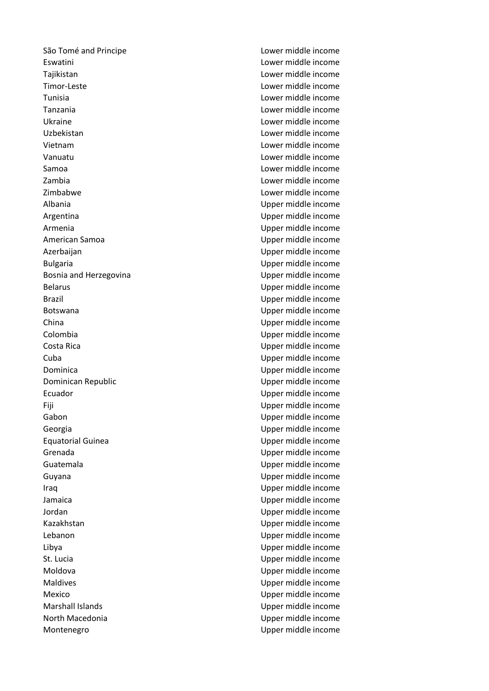São Tomé and Principe Lower middle income Eswatini Lower middle income Tajikistan Lower middle income Timor-Leste Lower middle income Tunisia Lower middle income Tanzania Lower middle income Ukraine Lower middle income Uzbekistan Lower middle income Vietnam Lower middle income Vanuatu Lower middle income Samoa Lower middle income Zambia Lower middle income Zimbabwe Lower middle income Albania Upper middle income Argentina Upper middle income Armenia Upper middle income American Samoa Upper middle income Azerbaijan Upper middle income Bulgaria **Bulgaria Bulgaria Upper middle income** Bosnia and Herzegovina **Exercise 2018** Upper middle income Belarus **Belarus** Upper middle income Brazil **Brazil** Brazil **Brazil** Brazil **Brazil** Brazil **Upper middle income** Botswana Upper middle income China Upper middle income Colombia Upper middle income Costa Rica Upper middle income Cuba Upper middle income Dominica Upper middle income Dominican Republic **Dominican Republic Upper middle income** Ecuador Upper middle income Fiji Upper middle income Gabon **Gabon** Upper middle income Georgia Upper middle income Equatorial Guinea Upper middle income Grenada Upper middle income Guatemala Upper middle income Guyana Upper middle income Iraq Upper middle income Jamaica Upper middle income Jordan Upper middle income Kazakhstan **Example 2018** Upper middle income Lebanon Upper middle income Libya Upper middle income St. Lucia Upper middle income Moldova Upper middle income Maldives Upper middle income Mexico Upper middle income Marshall Islands Upper middle income North Macedonia Upper middle income Montenegro **Montenegro** Upper middle income